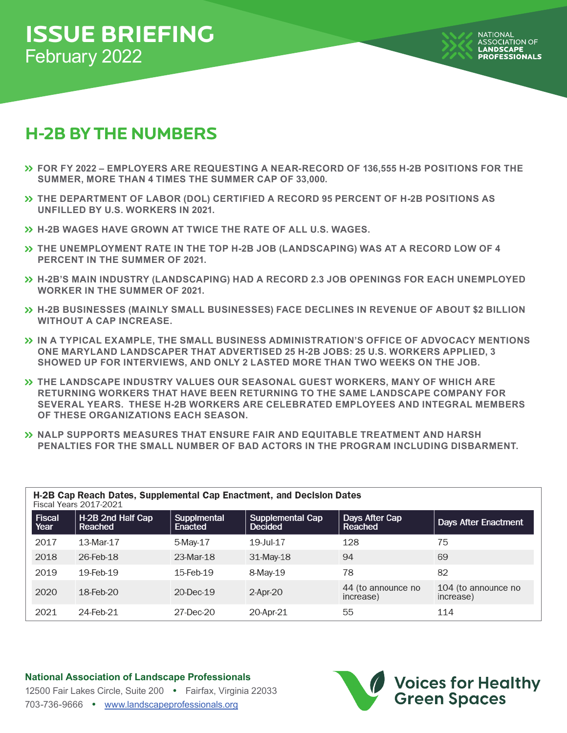# **ISSUE BRIEFING** February 2022

# **H-2B BY THE NUMBERS**

- **FOR FY 2022 EMPLOYERS ARE REQUESTING A NEAR-RECORD OF 136,555 H-2B POSITIONS FOR THE SUMMER, MORE THAN 4 TIMES THE SUMMER CAP OF 33,000.**
- **THE DEPARTMENT OF LABOR (DOL) CERTIFIED A RECORD 95 PERCENT OF H-2B POSITIONS AS UNFILLED BY U.S. WORKERS IN 2021.**
- **H-2B WAGES HAVE GROWN AT TWICE THE RATE OF ALL U.S. WAGES.**
- **THE UNEMPLOYMENT RATE IN THE TOP H-2B JOB (LANDSCAPING) WAS AT A RECORD LOW OF 4 PERCENT IN THE SUMMER OF 2021.**
- **H-2B'S MAIN INDUSTRY (LANDSCAPING) HAD A RECORD 2.3 JOB OPENINGS FOR EACH UNEMPLOYED WORKER IN THE SUMMER OF 2021.**
- **H-2B BUSINESSES (MAINLY SMALL BUSINESSES) FACE DECLINES IN REVENUE OF ABOUT \$2 BILLION WITHOUT A CAP INCREASE.**
- **IN A TYPICAL EXAMPLE, THE SMALL BUSINESS ADMINISTRATION'S OFFICE OF ADVOCACY MENTIONS ONE MARYLAND LANDSCAPER THAT ADVERTISED 25 H-2B JOBS: 25 U.S. WORKERS APPLIED, 3 SHOWED UP FOR INTERVIEWS, AND ONLY 2 LASTED MORE THAN TWO WEEKS ON THE JOB.**
- **THE LANDSCAPE INDUSTRY VALUES OUR SEASONAL GUEST WORKERS, MANY OF WHICH ARE RETURNING WORKERS THAT HAVE BEEN RETURNING TO THE SAME LANDSCAPE COMPANY FOR SEVERAL YEARS. THESE H-2B WORKERS ARE CELEBRATED EMPLOYEES AND INTEGRAL MEMBERS OF THESE ORGANIZATIONS EACH SEASON.**
- **NALP SUPPORTS MEASURES THAT ENSURE FAIR AND EQUITABLE TREATMENT AND HARSH PENALTIES FOR THE SMALL NUMBER OF BAD ACTORS IN THE PROGRAM INCLUDING DISBARMENT.**

| H-2B Cap Reach Dates, Supplemental Cap Enactment, and Decision Dates<br><b>Fiscal Years 2017-2021</b> |                              |                        |                                           |                                 |                                  |  |  |  |  |
|-------------------------------------------------------------------------------------------------------|------------------------------|------------------------|-------------------------------------------|---------------------------------|----------------------------------|--|--|--|--|
| Fiscal<br>Year                                                                                        | H-2B 2nd Half Cap<br>Reached | Supplmental<br>Enacted | <b>Supplemental Cap</b><br><b>Decided</b> | Days After Cap<br>Reached       | <b>Days After Enactment</b>      |  |  |  |  |
| 2017                                                                                                  | 13-Mar-17                    | 5-May-17               | 19-Jul-17                                 | 128                             | 75                               |  |  |  |  |
| 2018                                                                                                  | 26-Feb-18                    | 23-Mar-18              | 31-May-18                                 | 94                              | 69                               |  |  |  |  |
| 2019                                                                                                  | 19-Feb-19                    | 15-Feb-19              | 8-May-19                                  | 78                              | 82                               |  |  |  |  |
| 2020                                                                                                  | 18-Feb-20                    | 20-Dec-19              | $2-Apr-20$                                | 44 (to announce no<br>increase) | 104 (to announce no<br>increase) |  |  |  |  |
| 2021                                                                                                  | 24-Feb-21                    | 27-Dec-20              | 20-Apr-21                                 | 55                              | 114                              |  |  |  |  |

#### **National Association of Landscape Professionals**



12500 Fair Lakes Circle, Suite 200 **•** Fairfax, Virginia 22033 703-736-9666 **•** www.landscapeprofessionals.org